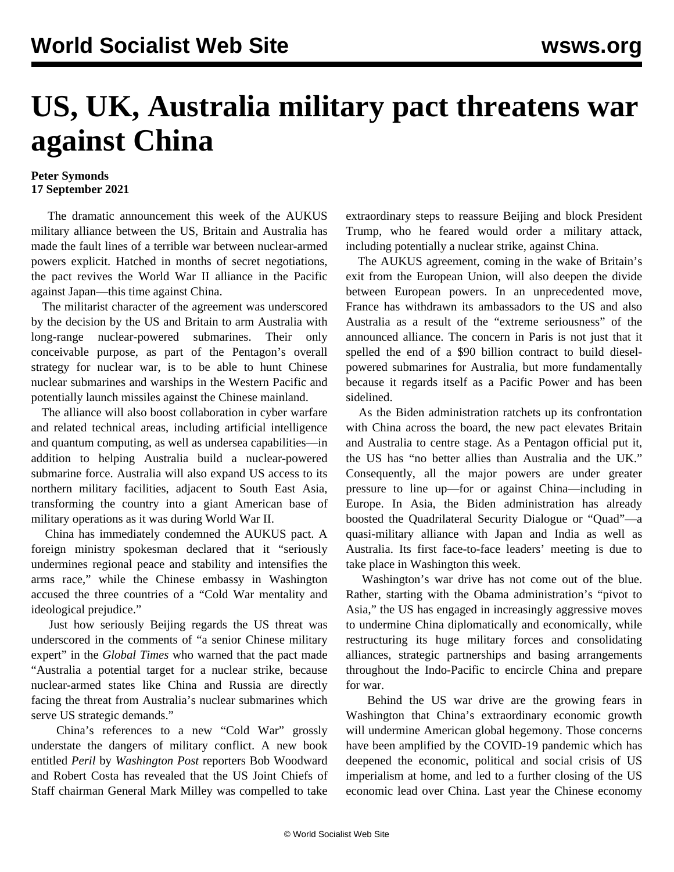## **US, UK, Australia military pact threatens war against China**

## **Peter Symonds 17 September 2021**

 The dramatic announcement this week of the AUKUS military alliance between the US, Britain and Australia has made the fault lines of a terrible war between nuclear-armed powers explicit. Hatched in months of secret negotiations, the pact revives the World War II alliance in the Pacific against Japan—this time against China.

 The militarist character of the agreement was underscored by the decision by the US and Britain to arm Australia with long-range nuclear-powered submarines. Their only conceivable purpose, as part of the Pentagon's overall strategy for nuclear war, is to be able to hunt Chinese nuclear submarines and warships in the Western Pacific and potentially launch missiles against the Chinese mainland.

 The alliance will also boost collaboration in cyber warfare and related technical areas, including artificial intelligence and quantum computing, as well as undersea capabilities—in addition to helping Australia build a nuclear-powered submarine force. Australia will also expand US access to its northern military facilities, adjacent to South East Asia, transforming the country into a giant American base of military operations as it was during World War II.

 China has immediately condemned the AUKUS pact. A foreign ministry spokesman declared that it "seriously undermines regional peace and stability and intensifies the arms race," while the Chinese embassy in Washington accused the three countries of a "Cold War mentality and ideological prejudice."

 Just how seriously Beijing regards the US threat was underscored in the comments of "a senior Chinese military expert" in the *Global Times* who warned that the pact made "Australia a potential target for a nuclear strike, because nuclear-armed states like China and Russia are directly facing the threat from Australia's nuclear submarines which serve US strategic demands."

 China's references to a new "Cold War" grossly understate the dangers of military conflict. A new book entitled *Peril* by *Washington Post* reporters Bob Woodward and Robert Costa has revealed that the US Joint Chiefs of Staff chairman General Mark Milley was compelled to take extraordinary steps to reassure Beijing and block President Trump, who he feared would order a military attack, including potentially a nuclear strike, against China.

 The AUKUS agreement, coming in the wake of Britain's exit from the European Union, will also deepen the divide between European powers. In an unprecedented move, France has withdrawn its ambassadors to the US and also Australia as a result of the "extreme seriousness" of the announced alliance. The concern in Paris is not just that it spelled the end of a \$90 billion contract to build dieselpowered submarines for Australia, but more fundamentally because it regards itself as a Pacific Power and has been sidelined.

 As the Biden administration ratchets up its confrontation with China across the board, the new pact elevates Britain and Australia to centre stage. As a Pentagon official put it, the US has "no better allies than Australia and the UK." Consequently, all the major powers are under greater pressure to line up—for or against China—including in Europe. In Asia, the Biden administration has already boosted the Quadrilateral Security Dialogue or "Quad"—a quasi-military alliance with Japan and India as well as Australia. Its first face-to-face leaders' meeting is due to take place in Washington this week.

 Washington's war drive has not come out of the blue. Rather, starting with the Obama administration's "pivot to Asia," the US has engaged in increasingly aggressive moves to undermine China diplomatically and economically, while restructuring its huge military forces and consolidating alliances, strategic partnerships and basing arrangements throughout the Indo-Pacific to encircle China and prepare for war.

 Behind the US war drive are the growing fears in Washington that China's extraordinary economic growth will undermine American global hegemony. Those concerns have been amplified by the COVID-19 pandemic which has deepened the economic, political and social crisis of US imperialism at home, and led to a further closing of the US economic lead over China. Last year the Chinese economy